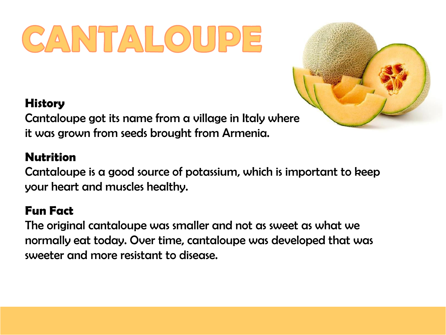# CANTALOUPE

### **History**

Cantaloupe got its name from a village in Italy where it was grown from seeds brought from Armenia.

### **Nutrition**

Cantaloupe is a good source of potassium, which is important to keep your heart and muscles healthy.

### **Fun Fact**

The original cantaloupe was smaller and not as sweet as what we normally eat today. Over time, cantaloupe was developed that was sweeter and more resistant to disease.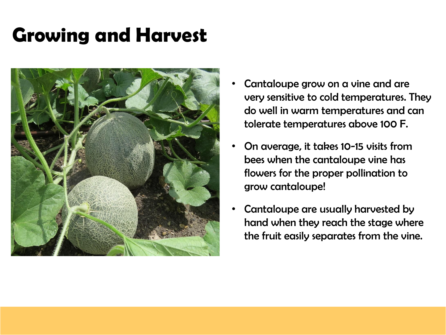## **Growing and Harvest**



- Cantaloupe grow on a vine and are very sensitive to cold temperatures. They do well in warm temperatures and can tolerate temperatures above 100 F.
- On average, it takes 10-15 visits from bees when the cantaloupe vine has flowers for the proper pollination to grow cantaloupe!
- Cantaloupe are usually harvested by hand when they reach the stage where the fruit easily separates from the vine.